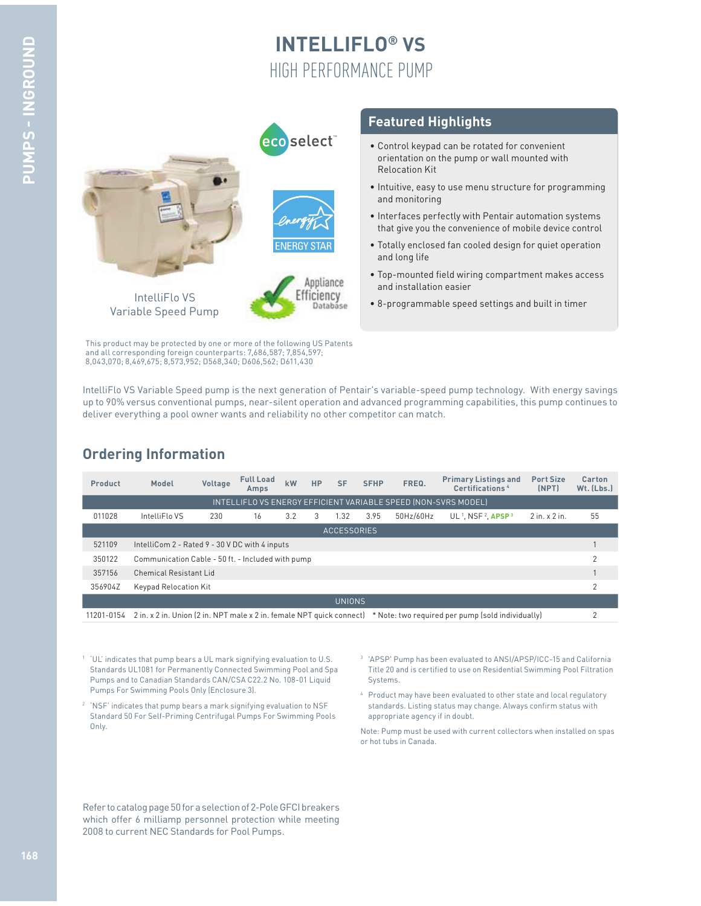# **INTELLIFLO® VS** HIGH PERFORMANCE PUMP



This product may be protected by one or more of the following US Patents and all corresponding foreign counterparts: 7,686,587; 7,854,597; 8,043,070; 8,469,675; 8,573,952; D568,340; D606,562; D611,430

#### **Featured Highlights**

- Control keypad can be rotated for convenient orientation on the pump or wall mounted with Relocation Kit
- Intuitive, easy to use menu structure for programming and monitoring
- Interfaces perfectly with Pentair automation systems that give you the convenience of mobile device control
- Totally enclosed fan cooled design for quiet operation and long life
- Top-mounted field wiring compartment makes access and installation easier
- 8-programmable speed settings and built in timer

IntelliFlo VS Variable Speed pump is the next generation of Pentair's variable-speed pump technology. With energy savings up to 90% versus conventional pumps, near-silent operation and advanced programming capabilities, this pump continues to deliver everything a pool owner wants and reliability no other competitor can match.

## **Ordering Information**

| Product                                                        | Model                                                                                                                              | Voltage | <b>Full Load</b><br><b>Amps</b> | kW  | <b>HP</b> | <b>SF</b> | <b>SFHP</b> | FREQ.     | <b>Primary Listings and</b><br><b>Certifications 4</b> | <b>Port Size</b><br>(NPT) | Carton<br>$Wt.$ (Lbs.) |
|----------------------------------------------------------------|------------------------------------------------------------------------------------------------------------------------------------|---------|---------------------------------|-----|-----------|-----------|-------------|-----------|--------------------------------------------------------|---------------------------|------------------------|
| INTELLIFLO VS ENERGY EFFICIENT VARIABLE SPEED (NON-SVRS MODEL) |                                                                                                                                    |         |                                 |     |           |           |             |           |                                                        |                           |                        |
| 011028                                                         | IntelliFlo VS                                                                                                                      | 230     | 16                              | 3.2 | 3         | 1.32      | 3.95        | 50Hz/60Hz | $UL1$ . NSF <sup>2</sup> . APSP <sup>3</sup>           | $2$ in. $\times$ 2 in.    | 55                     |
| <b>ACCESSORIES</b>                                             |                                                                                                                                    |         |                                 |     |           |           |             |           |                                                        |                           |                        |
| 521109                                                         | IntelliCom 2 - Rated 9 - 30 V DC with 4 inputs                                                                                     |         |                                 |     |           |           |             |           |                                                        |                           |                        |
| 350122                                                         | Communication Cable - 50 ft. - Included with pump                                                                                  |         |                                 |     |           |           |             |           |                                                        |                           | 2                      |
| 357156                                                         | <b>Chemical Resistant Lid</b>                                                                                                      |         |                                 |     |           |           |             |           |                                                        |                           |                        |
| 356904Z                                                        | Keypad Relocation Kit                                                                                                              |         |                                 |     |           |           |             |           |                                                        |                           | 2                      |
| <b>UNIONS</b>                                                  |                                                                                                                                    |         |                                 |     |           |           |             |           |                                                        |                           |                        |
|                                                                | 11201-0154 2 in, x 2 in, Union (2 in, NPT male x 2 in, female NPT quick connect) * Note: two required per pump (sold individually) |         |                                 |     |           |           |             |           |                                                        |                           |                        |

1 'UL' indicates that pump bears a UL mark signifying evaluation to U.S. Standards UL1081 for Permanently Connected Swimming Pool and Spa Pumps and to Canadian Standards CAN/CSA C22.2 No. 108-01 Liquid Pumps For Swimming Pools Only (Enclosure 3).

- $2$  'NSF' indicates that pump bears a mark signifying evaluation to NSF  $\,$ Standard 50 For Self-Priming Centrifugal Pumps For Swimming Pools Only.
- 3 'APSP' Pump has been evaluated to ANSI/APSP/ICC-15 and California Title 20 and is certified to use on Residential Swimming Pool Filtration Systems.
- 4 Product may have been evaluated to other state and local regulatory standards. Listing status may change. Always confirm status with appropriate agency if in doubt.

Note: Pump must be used with current collectors when installed on spas or hot tubs in Canada.

Refer to catalog page 50 for a selection of 2-Pole GFCI breakers which offer 6 milliamp personnel protection while meeting 2008 to current NEC Standards for Pool Pumps.